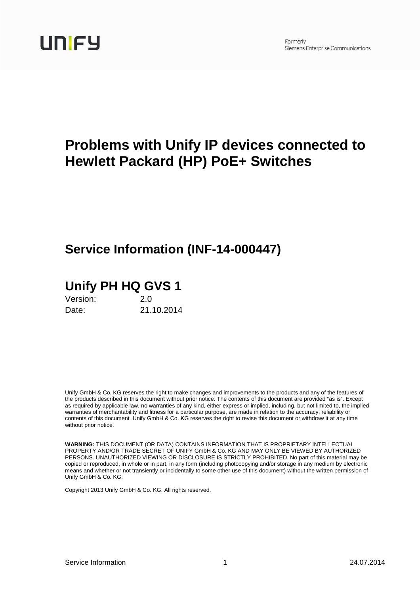

# **Problems with Unify IP devices connected to Hewlett Packard (HP) PoE+ Switches**

## **Service Information (INF-14-000447)**

# **Unify PH HQ GVS 1**

Version: 2.0 Date: 21.10.2014

Unify GmbH & Co. KG reserves the right to make changes and improvements to the products and any of the features of the products described in this document without prior notice. The contents of this document are provided "as is". Except as required by applicable law, no warranties of any kind, either express or implied, including, but not limited to, the implied warranties of merchantability and fitness for a particular purpose, are made in relation to the accuracy, reliability or contents of this document. Unify GmbH & Co. KG reserves the right to revise this document or withdraw it at any time without prior notice.

**WARNING:** THIS DOCUMENT (OR DATA) CONTAINS INFORMATION THAT IS PROPRIETARY INTELLECTUAL PROPERTY AND/OR TRADE SECRET OF UNIFY GmbH & Co. KG AND MAY ONLY BE VIEWED BY AUTHORIZED PERSONS. UNAUTHORIZED VIEWING OR DISCLOSURE IS STRICTLY PROHIBITED. No part of this material may be copied or reproduced, in whole or in part, in any form (including photocopying and/or storage in any medium by electronic means and whether or not transiently or incidentally to some other use of this document) without the written permission of Unify GmbH & Co. KG.

Copyright 2013 Unify GmbH & Co. KG. All rights reserved.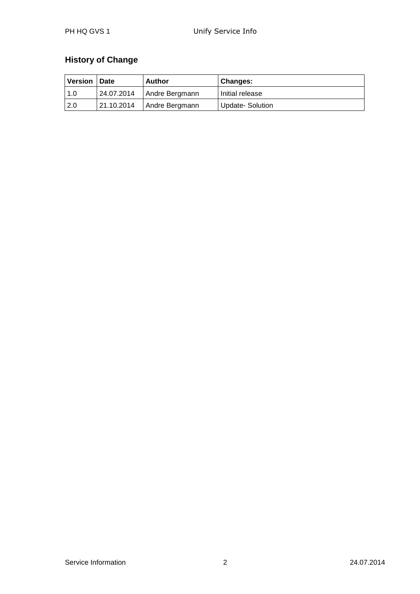## **History of Change**

| <b>Version</b> | <b>Date</b> | <b>Author</b>               | <b>Changes:</b> |
|----------------|-------------|-----------------------------|-----------------|
| 1.0            |             | 24.07.2014   Andre Bergmann | Initial release |
| 2.0            | 21.10.2014  | Andre Bergmann              | Update-Solution |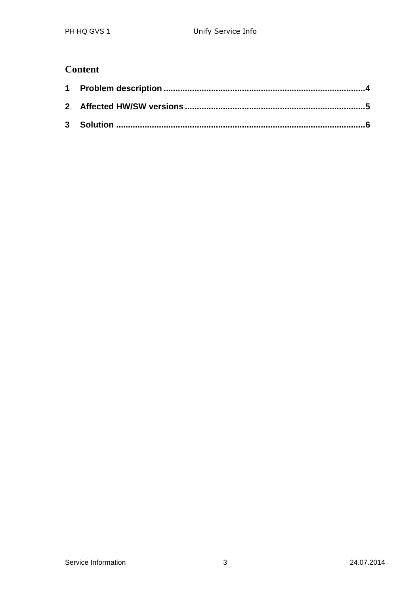#### **Content**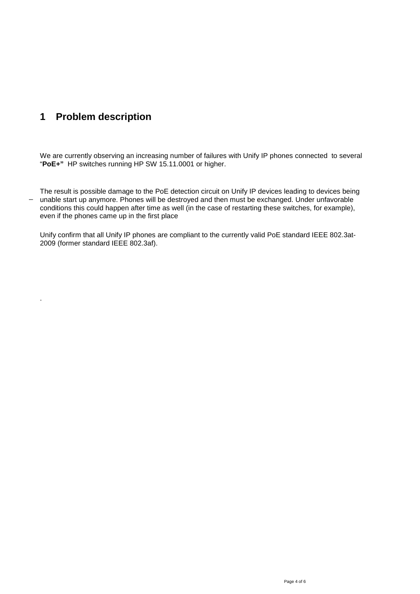## **1 Problem description**

.

We are currently observing an increasing number of failures with Unify IP phones connected to several "**PoE+"** HP switches running HP SW 15.11.0001 or higher.

 $\overline{\phantom{0}}$ The result is possible damage to the PoE detection circuit on Unify IP devices leading to devices being unable start up anymore. Phones will be destroyed and then must be exchanged. Under unfavorable conditions this could happen after time as well (in the case of restarting these switches, for example), even if the phones came up in the first place

Unify confirm that all Unify IP phones are compliant to the currently valid PoE standard IEEE 802.3at-2009 (former standard IEEE 802.3af).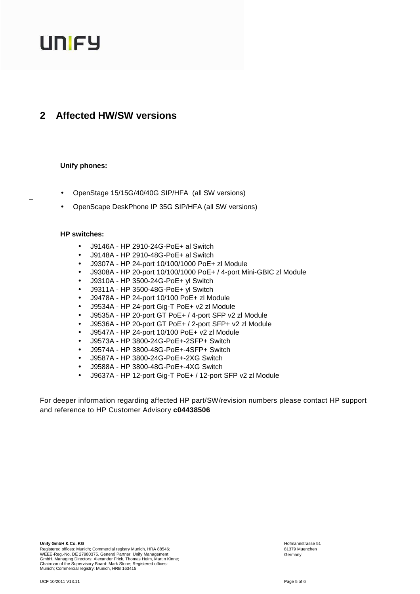# **UNIFY**

### **2 Affected HW/SW versions**

#### **Unify phones:**

 $\overline{a}$ 

- OpenStage 15/15G/40/40G SIP/HFA (all SW versions)
- OpenScape DeskPhone IP 35G SIP/HFA (all SW versions)

#### **HP switches:**

- J9146A HP 2910-24G-PoE+ al Switch
- J9148A HP 2910-48G-PoE+ al Switch
- J9307A HP 24-port 10/100/1000 PoE+ zl Module
- J9308A HP 20-port 10/100/1000 PoE+ / 4-port Mini-GBIC zl Module
- J9310A HP 3500-24G-PoE+ yl Switch
- J9311A HP 3500-48G-PoE+ yl Switch
- J9478A HP 24-port 10/100 PoE+ zl Module
- J9534A HP 24-port Gig-T PoE+ v2 zl Module
- J9535A HP 20-port GT PoE+ / 4-port SFP v2 zl Module
- J9536A HP 20-port GT PoE+ / 2-port SFP+ v2 zl Module
- J9547A HP 24-port 10/100 PoE+ v2 zl Module
- J9573A HP 3800-24G-PoE+-2SFP+ Switch
- J9574A HP 3800-48G-PoE+-4SFP+ Switch
- J9587A HP 3800-24G-PoE+-2XG Switch
- J9588A HP 3800-48G-PoE+-4XG Switch
- J9637A HP 12-port Gig-T PoE+ / 12-port SFP v2 zl Module

For deeper information regarding affected HP part/SW/revision numbers please contact HP support and reference to HP Customer Advisory **c04438506**